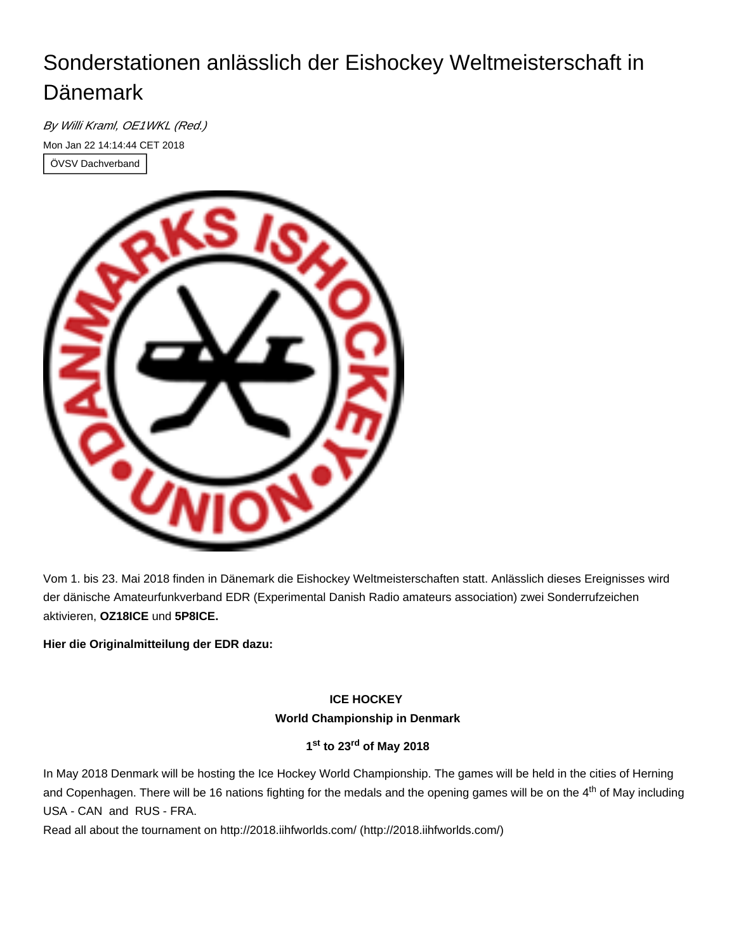# Sonderstationen anlässlich der Eishockey Weltmeisterschaft in Dänemark

By Willi Kraml, OE1WKL (Red.) Mon Jan 22 14:14:44 CET 2018 ÖVSV Dachverband



Vom 1. bis 23. Mai 2018 finden in Dänemark die Eishockey Weltmeisterschaften statt. Anlässlich dieses Ereignisses wird der dänische Amateurfunkverband EDR (Experimental Danish Radio amateurs association) zwei Sonderrufzeichen aktivieren, **OZ18ICE** und **5P8ICE.**

**Hier die Originalmitteilung der EDR dazu:**

# **ICE HOCKEY World Championship in Denmark**

## **1 to 23 of May 2018 st rd**

In May 2018 Denmark will be hosting the Ice Hockey World Championship. The games will be held in the cities of Herning and Copenhagen. There will be 16 nations fighting for the medals and the opening games will be on the 4<sup>th</sup> of May including USA - CAN and RUS - FRA.

Read all about the tournament on [http://2018.iihfworlds.com/ \(http://2018.iihfworlds.com/\)](http://2018.iihfworlds.com/)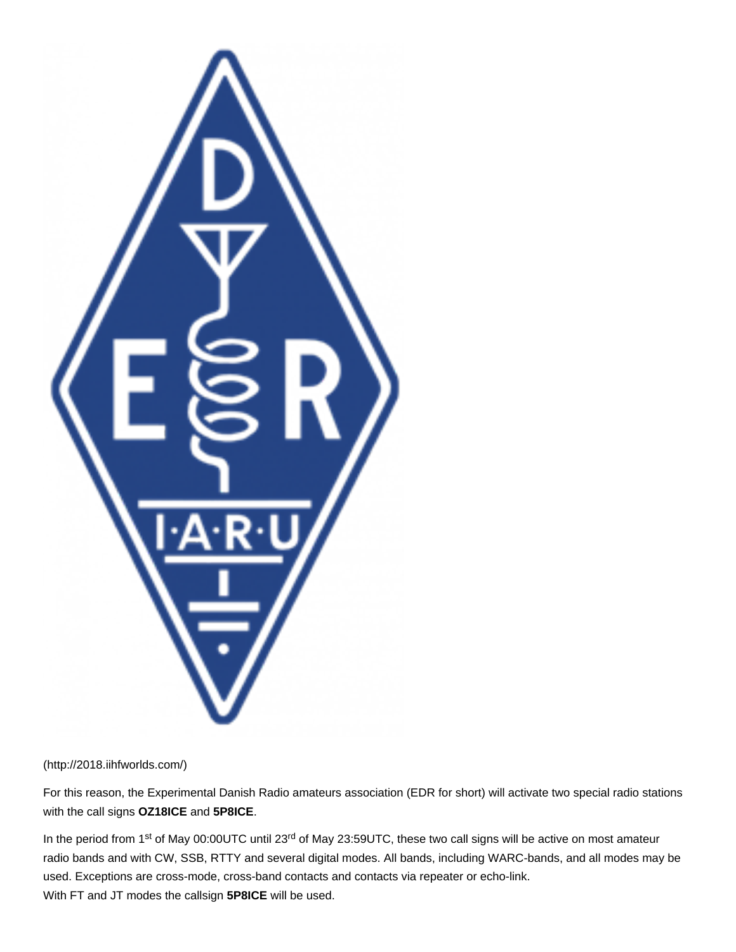

#### [\(http://2018.iihfworlds.com/\)](http://2018.iihfworlds.com/)

For this reason, the Experimental Danish Radio amateurs association (EDR for short) will activate two special radio stations with the call signs **OZ18ICE** and **5P8ICE**.

In the period from 1<sup>st</sup> of May 00:00UTC until 23<sup>rd</sup> of May 23:59UTC, these two call signs will be active on most amateur radio bands and with CW, SSB, RTTY and several digital modes. All bands, including WARC-bands, and all modes may be used. Exceptions are cross-mode, cross-band contacts and contacts via repeater or echo-link. With FT and JT modes the callsign **5P8ICE** will be used.